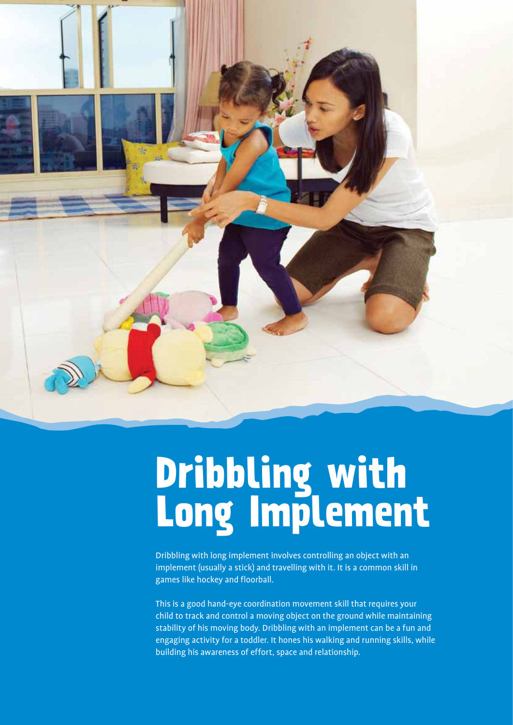

# **Dribbling with Long Implement**

Dribbling with long implement involves controlling an object with an implement (usually a stick) and travelling with it. It is a common skill in games like hockey and floorball.

This is a good hand-eye coordination movement skill that requires your child to track and control a moving object on the ground while maintaining stability of his moving body. Dribbling with an implement can be a fun and engaging activity for a toddler. It hones his walking and running skills, while building his awareness of effort, space and relationship.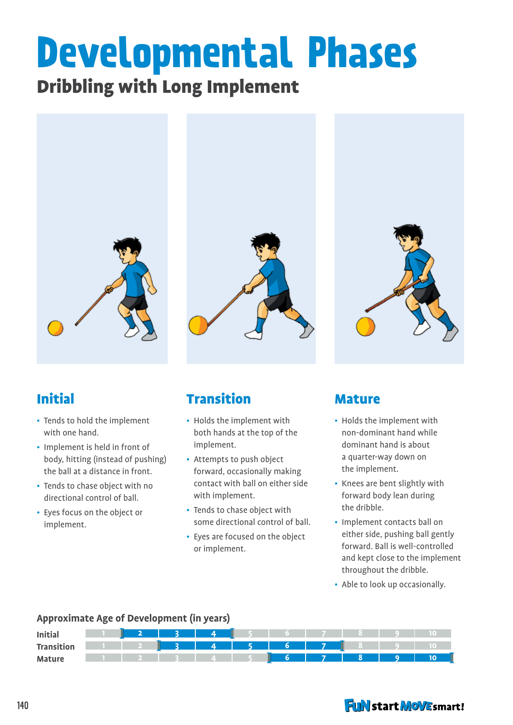# **Developmental Phases**

# Dribbling with Long Implement



# Initial

- Tends to hold the implement with one hand.
- Implement is held in front of body, hitting (instead of pushing) the ball at a distance in front.
- Tends to chase object with no directional control of ball.
- Eyes focus on the object or implement.



# Transition

- Holds the implement with both hands at the top of the implement.
- Attempts to push object forward, occasionally making contact with ball on either side with implement.
- Tends to chase object with some directional control of ball.
- Eyes are focused on the object or implement.



#### Mature

- Holds the implement with non-dominant hand while dominant hand is about a quarter-way down on the implement.
- Knees are bent slightly with forward body lean during the dribble.
- Implement contacts ball on either side, pushing ball gently forward. Ball is well-controlled and kept close to the implement throughout the dribble.
- Able to look up occasionally.

#### **Approximate Age of Development (in years)**

| <b>Initial</b>    |  |  |              |       |                          |  |
|-------------------|--|--|--------------|-------|--------------------------|--|
| <b>Transition</b> |  |  | 13 4 5 6 7 8 |       |                          |  |
| <b>Mature</b>     |  |  |              | 6 7 8 | $\overline{\phantom{a}}$ |  |

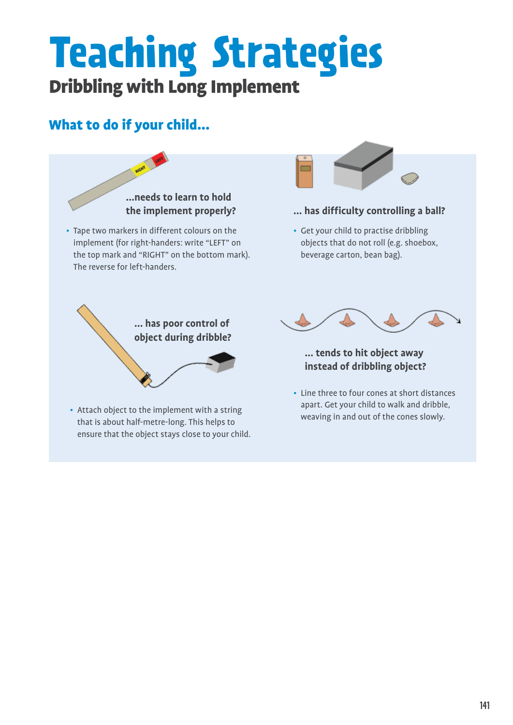# **Teaching Strategies** Dribbling with Long Implement

# What to do if your child...

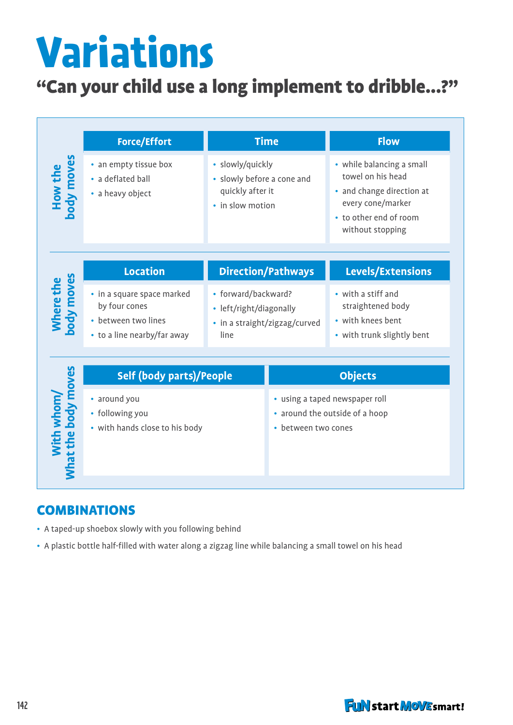# **Variations**

# "Can your child use a long implement to dribble...?"

| How the<br>body moves             | <b>Force/Effort</b><br>• an empty tissue box<br>• a deflated ball<br>• a heavy object             | <b>Time</b><br>· slowly/quickly<br>• slowly before a cone and<br>quickly after it<br>• in slow motion |                                                                                         | <b>Flow</b><br>• while balancing a small<br>towel on his head<br>• and change direction at<br>every cone/marker<br>• to other end of room<br>without stopping |  |  |
|-----------------------------------|---------------------------------------------------------------------------------------------------|-------------------------------------------------------------------------------------------------------|-----------------------------------------------------------------------------------------|---------------------------------------------------------------------------------------------------------------------------------------------------------------|--|--|
|                                   | <b>Location</b>                                                                                   | <b>Direction/Pathways</b>                                                                             |                                                                                         | Levels/Extensions                                                                                                                                             |  |  |
| Where the<br>body moves           | • in a square space marked<br>by four cones<br>• between two lines<br>• to a line nearby/far away | • forward/backward?<br>• left/right/diagonally<br>• in a straight/zigzag/curved<br>line               |                                                                                         | • with a stiff and<br>straightened body<br>• with knees bent<br>• with trunk slightly bent                                                                    |  |  |
|                                   | <b>Self (body parts)/People</b>                                                                   |                                                                                                       |                                                                                         | <b>Objects</b>                                                                                                                                                |  |  |
| With whom/<br>What the body moves | • around you<br>• following you<br>• with hands close to his body                                 |                                                                                                       | · using a taped newspaper roll<br>• around the outside of a hoop<br>• between two cones |                                                                                                                                                               |  |  |

### **COMBINATIONS**

- A taped-up shoebox slowly with you following behind
- A plastic bottle half-filled with water along a zigzag line while balancing a small towel on his head

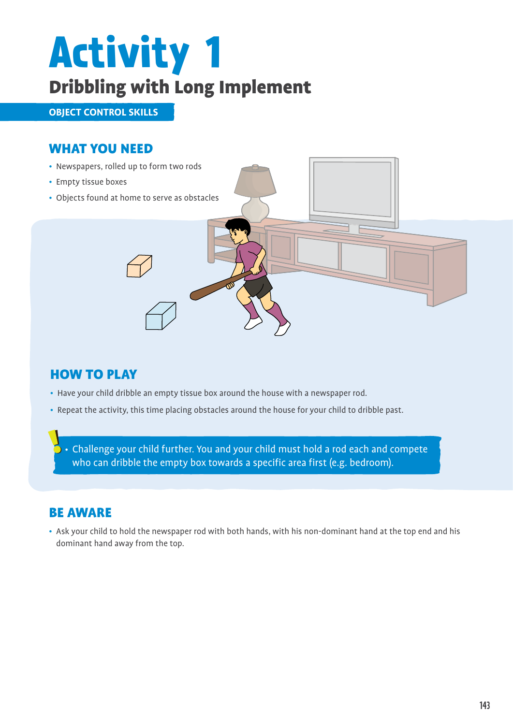# **Activity 1**  Dribbling with Long Implement

**object control skills**

### WHAT YOU NEED

- Newspapers, rolled up to form two rods
- Empty tissue boxes
- Objects found at home to serve as obstacles



## **HOW TO PLAY**

- Have your child dribble an empty tissue box around the house with a newspaper rod.
- Repeat the activity, this time placing obstacles around the house for your child to dribble past.

• Challenge your child further. You and your child must hold a rod each and compete who can dribble the empty box towards a specific area first (e.g. bedroom).

## Be aware

• Ask your child to hold the newspaper rod with both hands, with his non-dominant hand at the top end and his dominant hand away from the top.